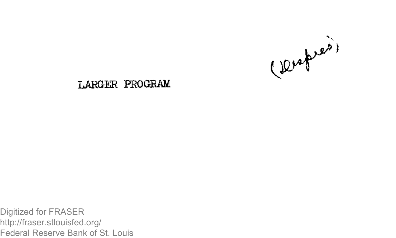

# **LARGER PROGRAM**

Digitized for FRASER http://fraser.stlouisfed.org/ Federal Reserve Bank of St. Louis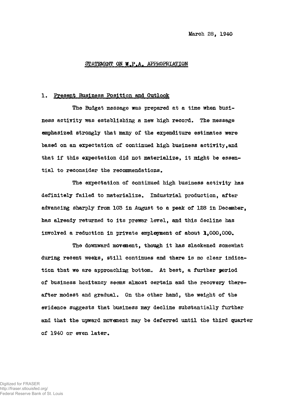March 28, 1940

#### STATEMENT ON W.P.A. APPROPRIATION

# 1. Present Business Position and Outlook

The Budget message was prepared at a time when business activity was establishing a new high record. The message emphasized strongly that many of the expenditure estimates were based on an expectation of continued high business activity,and that if this expectation did not materialize, it might be essential to reconsider the recommendations.

The expectation of continued high business activity has definitely failed to materialize. Industrial production, after advancing sharply from 103 in August to a peak of 128 in December, has already returned to its prewar level, and this decline has involved a reduction in private employment of about  $1,000,000$ .

The downward movement, though it has slackened somewhat during recent weeks, still continues and there is no clear indication that we are approaching bottom. At best, a further period of business hesitancy seems almost certain and the recovery thereafter modest and gradual. On the other hand, the weight of the evidence suggests that business may decline substantially further and that the upward movement may be deferred until the third quarter of 1940 or even later.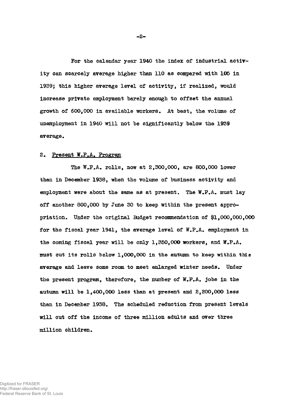For the calendar year 1940 the index of industrial activity can scarcely average higher than 110 as compared with ICS in 1939; this higher average level of activity, if realized, would increase private employment barely enough to offset the annual growth of  $600,000$  in available workers. At best, the volume of unemployment in 1940 will not be significantly below the 19S9 average.

# 2. Present W.P.A. Program

The W.P.A. rolls, now at 2,300,000, are 800,000 lower than in December 1958, when the volume of business activity and employment were about the same as at present. The  $W_{\star}P_{\star}A_{\star}$  must lay off another 800,000 by June 30 to keep within the present appropriation. Under the original Budget recommendation of #1,000,000,000 for the fiscal year 1941, the average level of W.P.A. employment in the coming fiscal year will be only 1,350,000 workers, and W.P.A. must cut its rolls below 1,000,000 in the autumn to keep within this average and leave some room to meet enlarged winter needs. Under the present program, therefore, the number of W.P.A. jobs in the autumn will be 1,400,000 less than at present and 2,200,000 less than in December 1938. The scheduled reduction from present levels will cut off the income of three million adults and over three million children.

Digitized for FRASER http://fraser.stlouisfed.org/ Federal Reserve Bank of St. Louis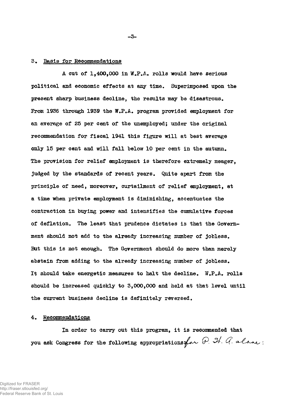# Basis for Recommendations

A cut of 1,400,000 in W.P.A. polls would have serious political and economic effects at any time. Superimposed upon the present sharp business decline, the results may be disastrous. From 1936 through 1939 the W.P.A. program provided employment for an average of 25 per cent of the unemployed; under the original recommendation for fiscal 1941 this figure will at best average only 15 per cent and will fall below 10 per cent in the autumn. The provision for relief employment is therefore extremely meager, judged by the standards of recent years. Quite apart from the principle of need, moreover, curtailment of relief employment, at a time when private employment is diminishing, accentuates the contraction in buying power and intensifies the cumulative forces of deflation. The least that prudence dictates is that the Government should not add to the already increasing number of jobless. But this is not enough. The Government should do more than merely abstain from adding to the already increasing number of jobless. It should take energetic measures to halt the decline. W.P.A. rolls should be increased quickly to 3,000,000 and held at that level until the current business decline is definitely reversed.

# 4. Recommendations

In order to carry out this program, it is recommended that you ask Congress for the following appropriations for  $\mathcal G$ . It.  $\mathcal G$ . alone:

**- 3 -**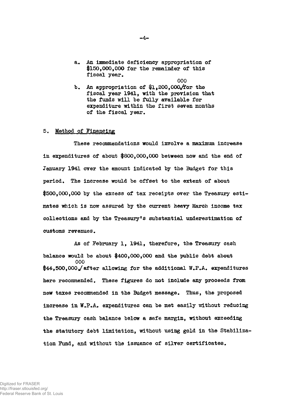- a. An immediate deficiency appropriation of \$150,000,000 for the remainder of this fiscal year.
	- 000
- b. An appropriation of  $1,200,000$ , for the fiscal year 1941, with the provision that the funds will be fully available for expenditure within the first seven months of the fiscal year.

## 5. Method of Financing

These recommendations would involve a maximum increase in expenditures of about \$800,000,000 between now and the end of January 1941 over the amount indicated by the Budget for this period. The increase would be offset to the extent of about \$500,000,000 by the excess of tax receipts over the Treasury estimates which is now assured by the current heavy March income tax collections and by the Treasury's substantial underestimation of customs revenues.

As of February 1, 1941, therefore, the Treasury cash balance would be about \$400,000,000 and the public debt about 000 \$44,500,000J after allowing for the additional W.P.A. expenditures here recommended. These figures do not include any proceeds from new taxes recommended in the Budget message. Thus, the proposed increase in W.P.A. expenditures can be met easily without reducing the Treasury cash balance below a safe margin, without exceeding the statutory debt limitation, without using gold in the Stabilization Fund, and without the issuance of silver certificates.